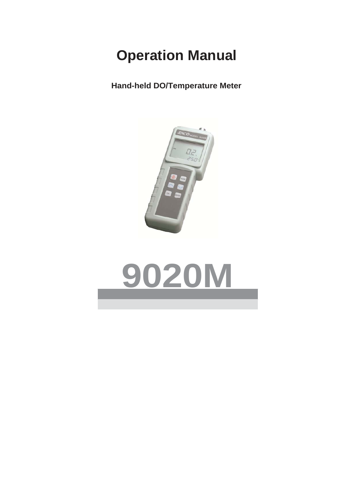# **Operation Manual**

**Hand-held DO/Temperature Meter**



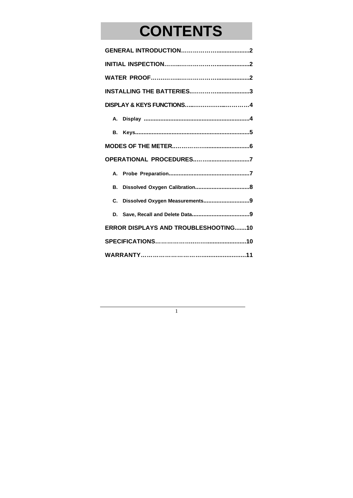# **CONTENTS**

| <b>INSTALLING THE BATTERIES3</b>            |  |  |  |  |
|---------------------------------------------|--|--|--|--|
|                                             |  |  |  |  |
| А.                                          |  |  |  |  |
| В.                                          |  |  |  |  |
|                                             |  |  |  |  |
| OPERATIONAL PROCEDURES7                     |  |  |  |  |
| А.                                          |  |  |  |  |
| В.                                          |  |  |  |  |
| Dissolved Oxygen Measurements9<br>C.        |  |  |  |  |
| D.                                          |  |  |  |  |
| <b>ERROR DISPLAYS AND TROUBLESHOOTING10</b> |  |  |  |  |
|                                             |  |  |  |  |
|                                             |  |  |  |  |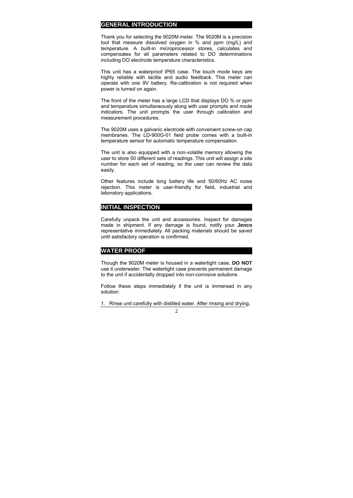#### **GENERAL INTRODUCTION**

Thank you for selecting the 9020M meter. The 9020M is a precision tool that measure dissolved oxygen in % and ppm (mg/L) and temperature. A built-in microprocessor stores, calculates and compensates for all parameters related to DO determinations including DO electrode temperature characteristics.

This unit has a waterproof IP65 case. The touch mode keys are highly reliable with tactile and audio feedback. This meter can operate with one 9V battery. Re-calibration is not required when power is turned on again.

The front of the meter has a large LCD that displays DO % or ppm and temperature simultaneously along with user prompts and mode indicators. The unit prompts the user through calibration and measurement procedures.

The 9020M uses a galvanic electrode with convenient screw-on cap membranes. The LD-900G-01 field probe comes with a built-in temperature sensor for automatic temperature compensation.

The unit is also equipped with a non-volatile memory allowing the user to store 50 different sets of readings. This unit will assign a site number for each set of reading, so the user can review the data easily.

Other features include long battery life and 50/60Hz AC noise rejection. This meter is user-friendly for field, industrial and laboratory applications.

#### **INITIAL INSPECTION**

Carefully unpack the unit and accessories. Inspect for damages made in shipment. If any damage is found, notify your **Jenco** representative immediately. All packing materials should be saved until satisfactory operation is confirmed.

## **WATER PROOF**

Though the 9020M meter is housed in a watertight case, **DO NOT** use it underwater. The watertight case prevents permanent damage to the unit if accidentally dropped into non-corrosive solutions.

Follow these steps immediately if the unit is immersed in any solution:

 $\mathcal{L}$ 1. Rinse unit carefully with distilled water. After rinsing and drying,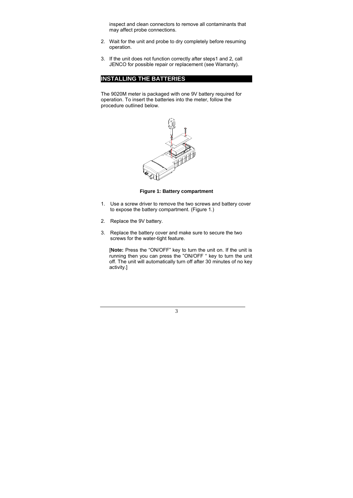inspect and clean connectors to remove all contaminants that may affect probe connections.

- 2. Wait for the unit and probe to dry completely before resuming operation.
- 3. If the unit does not function correctly after steps1 and 2, call JENCO for possible repair or replacement (see Warranty).

# **INSTALLING THE BATTERIES**

The 9020M meter is packaged with one 9V battery required for operation. To insert the batteries into the meter, follow the procedure outlined below.



**Figure 1: Battery compartment** 

- 1. Use a screw driver to remove the two screws and battery cover to expose the battery compartment. (Figure 1.)
- 2. Replace the 9V battery.
- 3. Replace the battery cover and make sure to secure the two screws for the water-tight feature.

[**Note:** Press the "ON/OFF" key to turn the unit on. If the unit is running then you can press the "ON/OFF " key to turn the unit off. The unit will automatically turn off after 30 minutes of no key activity.]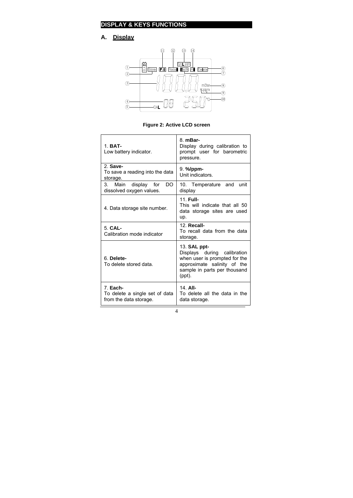# **DISPLAY & KEYS FUNCTIONS**

# **A. Display**



**Figure 2: Active LCD screen** 

| $1. BAT-$<br>Low battery indicator.                                  | 8. mBar-<br>Display during calibration to<br>prompt user for barometric<br>pressure.                                                                         |  |
|----------------------------------------------------------------------|--------------------------------------------------------------------------------------------------------------------------------------------------------------|--|
| 2. Save-<br>To save a reading into the data<br>storage.              | $9. \frac{\%}{ppm}$<br>Unit indicators.                                                                                                                      |  |
| DO.<br>3. Main display for<br>dissolved oxygen values.               | 10. Temperature and unit<br>display                                                                                                                          |  |
| 4. Data storage site number.                                         | 11. Full-<br>This will indicate that all 50<br>data storage sites are used<br>up.                                                                            |  |
| $5$ CAL-<br>Calibration mode indicator                               | 12. Recall-<br>To recall data from the data<br>storage.                                                                                                      |  |
| 6. Delete-<br>To delete stored data.                                 | 13. <b>SAL</b> ppt-<br>Displays during calibration<br>when user is prompted for the<br>approximate salinity of the<br>sample in parts per thousand<br>(ppt). |  |
| 7. Each-<br>To delete a single set of data<br>from the data storage. | 14. All-<br>To delete all the data in the<br>data storage.                                                                                                   |  |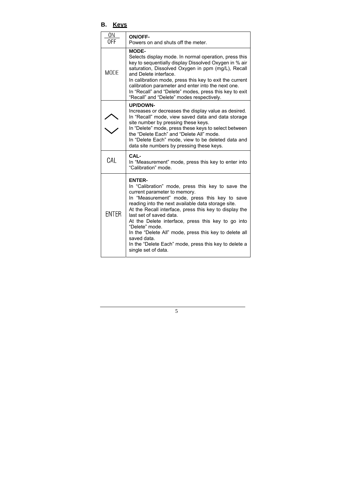# **B. Keys**

| 0N<br>0FF    | <b>ON/OFF-</b><br>Powers on and shuts off the meter.                                                                                                                                                                                                                                                                                                                                                                                                                                                                            |
|--------------|---------------------------------------------------------------------------------------------------------------------------------------------------------------------------------------------------------------------------------------------------------------------------------------------------------------------------------------------------------------------------------------------------------------------------------------------------------------------------------------------------------------------------------|
| <b>MODE</b>  | <b>MODE-</b><br>Selects display mode. In normal operation, press this<br>key to sequentially display Dissolved Oxygen in % air<br>saturation, Dissolved Oxygen in ppm (mg/L), Recall<br>and Delete interface.<br>In calibration mode, press this key to exit the current<br>calibration parameter and enter into the next one.<br>In "Recall" and "Delete" modes, press this key to exit<br>"Recall" and "Delete" modes respectively.                                                                                           |
|              | <b>UP/DOWN-</b><br>Increases or decreases the display value as desired.<br>In "Recall" mode, view saved data and data storage<br>site number by pressing these keys.<br>In "Delete" mode, press these keys to select between<br>the "Delete Each" and "Delete All" mode.<br>In "Delete Each" mode, view to be deleted data and<br>data site numbers by pressing these keys.                                                                                                                                                     |
| CAL          | CAL-<br>In "Measurement" mode, press this key to enter into<br>"Calibration" mode                                                                                                                                                                                                                                                                                                                                                                                                                                               |
| <b>ENTER</b> | <b>ENTER-</b><br>In "Calibration" mode, press this key to save the<br>current parameter to memory.<br>In "Measurement" mode, press this key to save<br>reading into the next available data storage site.<br>At the Recall interface, press this key to display the<br>last set of saved data.<br>At the Delete interface, press this key to go into<br>"Delete" mode.<br>In the "Delete All" mode, press this key to delete all<br>saved data.<br>In the "Delete Each" mode, press this key to delete a<br>single set of data. |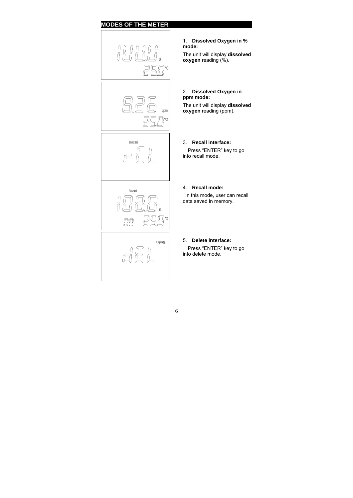# **MODES OF THE METER**



1. **Dissolved Oxygen in % mode:** The unit will display **dissolved oxygen** reading (%).

#### 2. **Dissolved Oxygen in ppm mode:**

The unit will display **dissolved oxygen** reading (ppm).

## 3. **Recall interface:**

 Press "ENTER" key to go into recall mode.

### 4. **Recall mode:**

In this mode, user can recall data saved in memory.

#### 5. **Delete interface:**

 Press "ENTER" key to go into delete mode.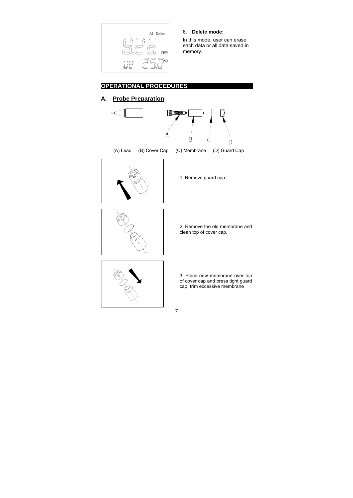

6. **Delete mode:** 

In this mode, user can erase each data or all data saved in memory.

# **OPERATIONAL PROCEDURES**

# **A. Probe Preparation**

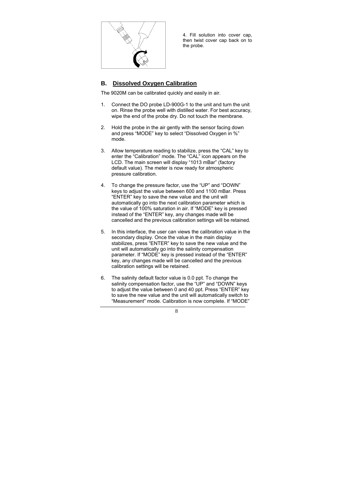

4. Fill solution into cover cap, then twist cover cap back on to the probe.

# **B. Dissolved Oxygen Calibration**

The 9020M can be calibrated quickly and easily in air.

- 1. Connect the DO probe LD-900G-1 to the unit and turn the unit on. Rinse the probe well with distilled water. For best accuracy, wipe the end of the probe dry. Do not touch the membrane.
- 2. Hold the probe in the air gently with the sensor facing down and press "MODE" key to select "Dissolved Oxygen in %" mode.
- 3. Allow temperature reading to stabilize, press the "CAL" key to enter the "Calibration" mode. The "CAL" icon appears on the LCD. The main screen will display "1013 mBar" (factory default value). The meter is now ready for atmospheric pressure calibration.
- 4. To change the pressure factor, use the "UP" and "DOWN" keys to adjust the value between 600 and 1100 mBar. Press "ENTER" key to save the new value and the unit will automatically go into the next calibration parameter which is the value of 100% saturation in air. If "MODE" key is pressed instead of the "ENTER" key, any changes made will be cancelled and the previous calibration settings will be retained.
- 5. In this interface, the user can views the calibration value in the secondary display. Once the value in the main display stabilizes, press "ENTER" key to save the new value and the unit will automatically go into the salinity compensation parameter. If "MODE" key is pressed instead of the "ENTER" key, any changes made will be cancelled and the previous calibration settings will be retained.
- 6. The salinity default factor value is 0.0 ppt. To change the salinity compensation factor, use the "UP" and "DOWN" keys to adjust the value between 0 and 40 ppt. Press "ENTER" key to save the new value and the unit will automatically switch to "Measurement" mode. Calibration is now complete. If "MODE"

 $\mathbf{Q}$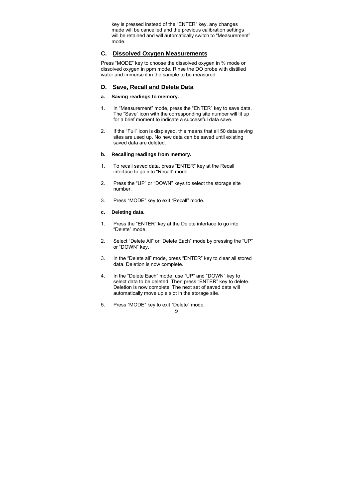key is pressed instead of the "ENTER" key, any changes made will be cancelled and the previous calibration settings will be retained and will automatically switch to "Measurement" mode.

## **C. Dissolved Oxygen Measurements**

Press "MODE" key to choose the dissolved oxygen in % mode or dissolved oxygen in ppm mode. Rinse the DO probe with distilled water and immerse it in the sample to be measured.

## **D. Save, Recall and Delete Data**

### **a. Saving readings to memory.**

- 1. In "Measurement" mode, press the "ENTER" key to save data. The "Save" icon with the corresponding site number will lit up for a brief moment to indicate a successful data save.
- 2. If the "Full" icon is displayed, this means that all 50 data saving sites are used up. No new data can be saved until existing saved data are deleted.

#### **b. Recalling readings from memory.**

- 1. To recall saved data, press "ENTER" key at the Recall interface to go into "Recall" mode.
- 2. Press the "UP" or "DOWN" keys to select the storage site number.
- 3. Press "MODE" key to exit "Recall" mode.

#### **c. Deleting data.**

- 1. Press the "ENTER" key at the Delete interface to go into "Delete" mode.
- 2. Select "Delete All" or "Delete Each" mode by pressing the "UP" or "DOWN" key.
- 3. In the "Delete all" mode, press "ENTER" key to clear all stored data. Deletion is now complete.
- 4. In the "Delete Each" mode, use "UP" and "DOWN" key to select data to be deleted. Then press "ENTER" key to delete. Deletion is now complete. The next set of saved data will automatically move up a slot in the storage site.

9

5. Press "MODE" key to exit "Delete" mode.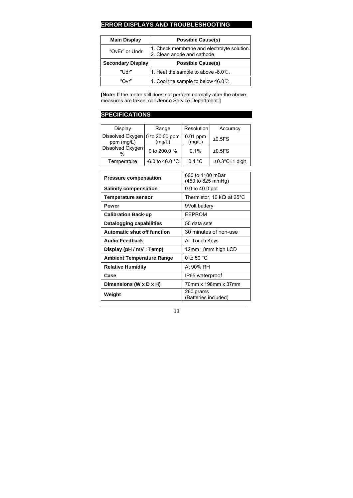# **ERROR DISPLAYS AND TROUBLESHOOTING**

| <b>Main Display</b>      | <b>Possible Cause(s)</b>                                                   |  |  |  |
|--------------------------|----------------------------------------------------------------------------|--|--|--|
| "OvEr" or Undr           | 1. Check membrane and electrolyte solution.<br>2. Clean anode and cathode. |  |  |  |
| <b>Secondary Display</b> | <b>Possible Cause(s)</b>                                                   |  |  |  |
| "Udr"                    | 1. Heat the sample to above -6.0 $\degree$ C.                              |  |  |  |
| "Ovr"                    | 1. Cool the sample to below $46.0^{\circ}$ .                               |  |  |  |

**[Note:** If the meter still does not perform normally after the above measures are taken, call **Jenco** Service Department.**]** 

# **SPECIFICATIONS**

| Display                                       | Range                     | Resolution           | Accuracy                    |
|-----------------------------------------------|---------------------------|----------------------|-----------------------------|
| Dissolved Oxygen 0 to 20.00 ppm<br>ppm (mg/L) | (mq/L)                    | $0.01$ ppm<br>(mg/L) | ±0.5FS                      |
| Dissolved Oxygen<br>$\frac{0}{0}$             | 0 to 200.0 %              | $0.1\%$              | ±0.5FS                      |
| Temperature                                   | -6.0 to 46.0 $^{\circ}$ C | 0.1 °C               | $±0.3^{\circ}$ C $±1$ digit |

| <b>Pressure compensation</b>       | 600 to 1100 mBar<br>(450 to 825 mmHg) |  |
|------------------------------------|---------------------------------------|--|
| <b>Salinity compensation</b>       | $0.0$ to $40.0$ ppt                   |  |
| <b>Temperature sensor</b>          | Thermistor, 10 k $\Omega$ at 25°C     |  |
| Power                              | 9Volt battery                         |  |
| <b>Calibration Back-up</b>         | <b>EEPROM</b>                         |  |
| <b>Datalogging capabilities</b>    | 50 data sets                          |  |
| <b>Automatic shut off function</b> | 30 minutes of non-use                 |  |
| <b>Audio Feedback</b>              | All Touch Keys                        |  |
| Display (pH / mV : Temp)           | 12mm : 8mm high LCD                   |  |
| <b>Ambient Temperature Range</b>   | 0 to 50 $^{\circ}$ C                  |  |
| <b>Relative Humidity</b>           | At 90% RH                             |  |
| Case                               | IP65 waterproof                       |  |
| Dimensions (W x D x H)             | 70mm x 198mm x 37mm                   |  |
| Weight                             | 260 grams<br>(Batteries included)     |  |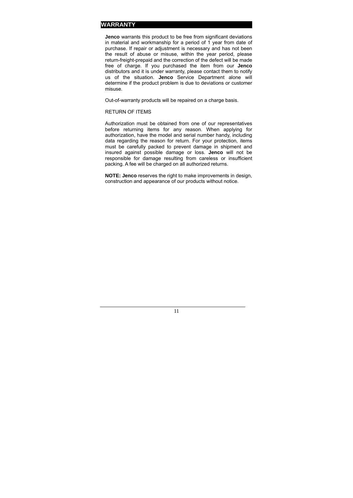### **WARRANTY**

**Jenco** warrants this product to be free from significant deviations in material and workmanship for a period of 1 year from date of purchase. If repair or adjustment is necessary and has not been the result of abuse or misuse, within the year period, please return-freight-prepaid and the correction of the defect will be made free of charge. If you purchased the item from our **Jenco** distributors and it is under warranty, please contact them to notify us of the situation. **Jenco** Service Department alone will determine if the product problem is due to deviations or customer misuse.

Out-of-warranty products will be repaired on a charge basis.

#### RETURN OF ITEMS

Authorization must be obtained from one of our representatives before returning items for any reason. When applying for authorization, have the model and serial number handy, including data regarding the reason for return. For your protection, items must be carefully packed to prevent damage in shipment and insured against possible damage or loss. **Jenco** will not be responsible for damage resulting from careless or insufficient packing. A fee will be charged on all authorized returns.

**NOTE: Jenco** reserves the right to make improvements in design, construction and appearance of our products without notice.